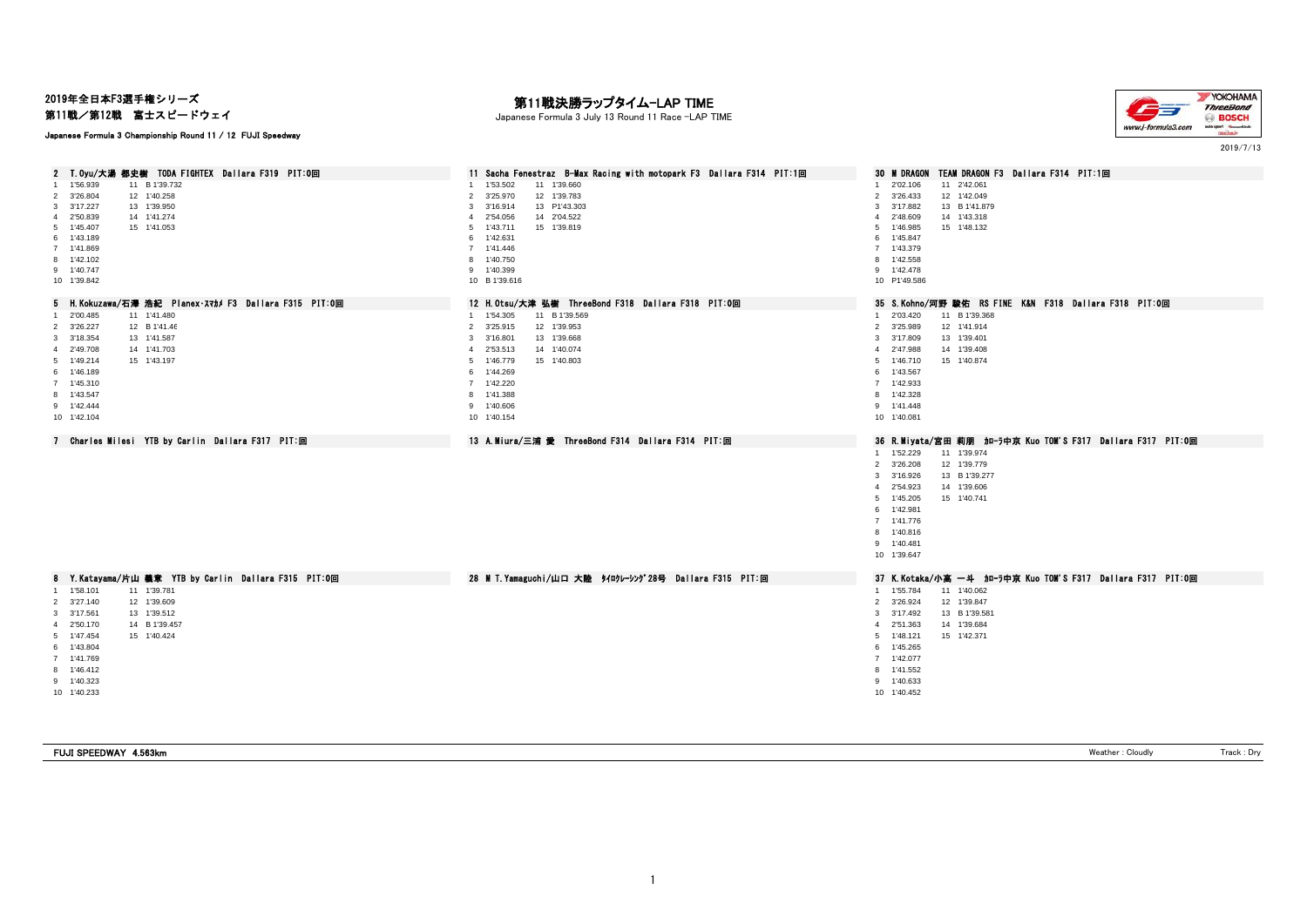2019年全日本F3選手権シリーズ

第11戦/第12戦 富士スピードウェイ

## Japanese Formula 3 Championship Round 11 / 12 FUJI Speedway

# — **第11戦決勝ラップタイム−LAP TIME**<br>Japanese Formula 3 July 13 Round 11 Race −LAP TIME



2019/7/13

| 2 T.Oyu/大湯 都史樹 TODA FIGHTEX Dallara F319 PIT:0回                                                                                                                                                                                        | 11 Sacha Fenestraz B-Max Racing with motopark F3 Dallara F314 PIT:1回                                                                                                                                                    | TEAM DRAGON F3 Dallara F314 PIT:1回<br>30 M DRAGON                                                                                                                                                                                             |
|----------------------------------------------------------------------------------------------------------------------------------------------------------------------------------------------------------------------------------------|-------------------------------------------------------------------------------------------------------------------------------------------------------------------------------------------------------------------------|-----------------------------------------------------------------------------------------------------------------------------------------------------------------------------------------------------------------------------------------------|
| 1 1'56.939<br>11 B 1'39.732<br>12 1'40.258<br>$\overline{2}$<br>3'26.804<br>3 3'17.227<br>13 1'39.950<br>4 2'50.839<br>14 1'41.274<br>5 1'45.407<br>15 1'41.053<br>6 1'43.189<br>7 1'41.869<br>8 1'42.102<br>9 1'40.747<br>10 1'39.842 | 1 1'53.502<br>11 1'39.660<br>2 3'25.970<br>12 1'39.783<br>3 3'16.914<br>13 P1'43.303<br>4 2'54.056<br>14 2'04.522<br>5 1'43.711<br>15 1'39.819<br>6 1'42.631<br>7 1'41.446<br>8 1'40.750<br>9 1'40.399<br>10 B 1'39.616 | 11 2'42.061<br>1 2'02.106<br>12 1'42.049<br>2 3'26.433<br>3 3'17.882<br>13 B 1'41.879<br>2'48.609<br>14 1'43.318<br>$\overline{4}$<br>15 1'48.132<br>1'46.985<br>5<br>1'45.847<br>6<br>7 1'43.379<br>8 1'42.558<br>9 1'42.478<br>10 P1'49.586 |
| 5 H. Kokuzawa/石澤 浩紀 Planex·スマカメ F3 Dallara F315 PIT:0回                                                                                                                                                                                 | 12 H.Otsu/大津 弘樹 ThreeBond F318 Dallara F318 PIT:0回                                                                                                                                                                      | 35 S.Kohno/河野 駿佑 RS FINE K&N F318 Dallara F318 PIT:0回                                                                                                                                                                                         |
| 11 1'41.480<br>1 2'00.485<br>2 3'26.227<br>12 B 1'41.46<br>13 1'41.587<br>3 3'18.354<br>4 2'49.708<br>14 1'41.703<br>15 1'43.197<br>5 1'49.214<br>6 1'46.189<br>7 1'45.310<br>8 1'43.547<br>9 1'42.444<br>10 1'42.104                  | 1 1'54.305<br>11 B 1'39.569<br>2 3'25.915<br>12 1'39.953<br>3 3'16.801<br>13 1'39.668<br>4 2'53.513<br>14 1'40.074<br>5 1'46.779<br>15 1'40.803<br>6 1'44.269<br>7 1'42.220<br>8 1'41.388<br>9 1'40.606<br>10 1'40.154  | 1 2'03.420<br>11 B 1'39.368<br>12 1'41.914<br>2 3'25.989<br>13 1'39.401<br>3 3'17.809<br>4 2'47.988<br>14 1'39.408<br>5 1'46.710<br>15 1'40.874<br>6 1'43.567<br>7 1'42.933<br>8 1'42.328<br>9 1'41.448<br>10 1'40.081                        |
| 7 Charles Milesi YTB by Carlin Dallara F317 PIT:回                                                                                                                                                                                      | 13 A.Miura/三浦 愛 ThreeBond F314 Dallara F314 PIT:回                                                                                                                                                                       | 36 R.Miyata/宮田 莉朋 加一ラ中京 Kuo TOM'S F317 Dallara F317 PIT:0回                                                                                                                                                                                    |
|                                                                                                                                                                                                                                        |                                                                                                                                                                                                                         | 1 1'52.229<br>11 1'39.974<br>2 3'26.208<br>12 1'39.779<br>3 3'16.926<br>13 B 1'39.277<br>4 2'54.923<br>14 1'39.606<br>5 1'45.205<br>15 1'40.741<br>6 1'42.981<br>7 1'41.776<br>8 1'40.816<br>9 1'40.481<br>10 1'39.647                        |
| 8 Y.Katayama/片山 義章 YTB by Carlin Dallara F315 PIT:0回                                                                                                                                                                                   | 28 M T. Yamaguchi/山口 大陸 タイロクレーシング28号 Dallara F315 PIT:回                                                                                                                                                                 | 37 K.Kotaka/小高 一斗 加一ラ中京 Kuo TOM'S F317 Dallara F317 PIT:0回                                                                                                                                                                                    |
| 1 1'58.101<br>11 1'39.781<br>12 1'39.609<br>2 3'27.140<br>3 3'17.561<br>13 1'39.512<br>4 2'50.170<br>14 B 1'39.457<br>5 1'47.454<br>15 1'40.424<br>6 1'43.804<br>7 1'41.769<br>8 1'46.412<br>9 1'40.323<br>10 1'40.233                 |                                                                                                                                                                                                                         | 1 1'55.784<br>11 1'40.062<br>2 3'26.924<br>12 1'39.847<br>13 B 1'39.581<br>3 3'17.492<br>4 2'51.363<br>14 1'39.684<br>5 1'48.121<br>15 1'42.371<br>6 1'45.265<br>7 1'42.077<br>8 1'41.552<br>9 1'40.633<br>10 1'40.452                        |

| FUJI SPEEDWAY 4.563km<br>eather : Cloudh<br>rac.<br>יש |
|--------------------------------------------------------|
|--------------------------------------------------------|